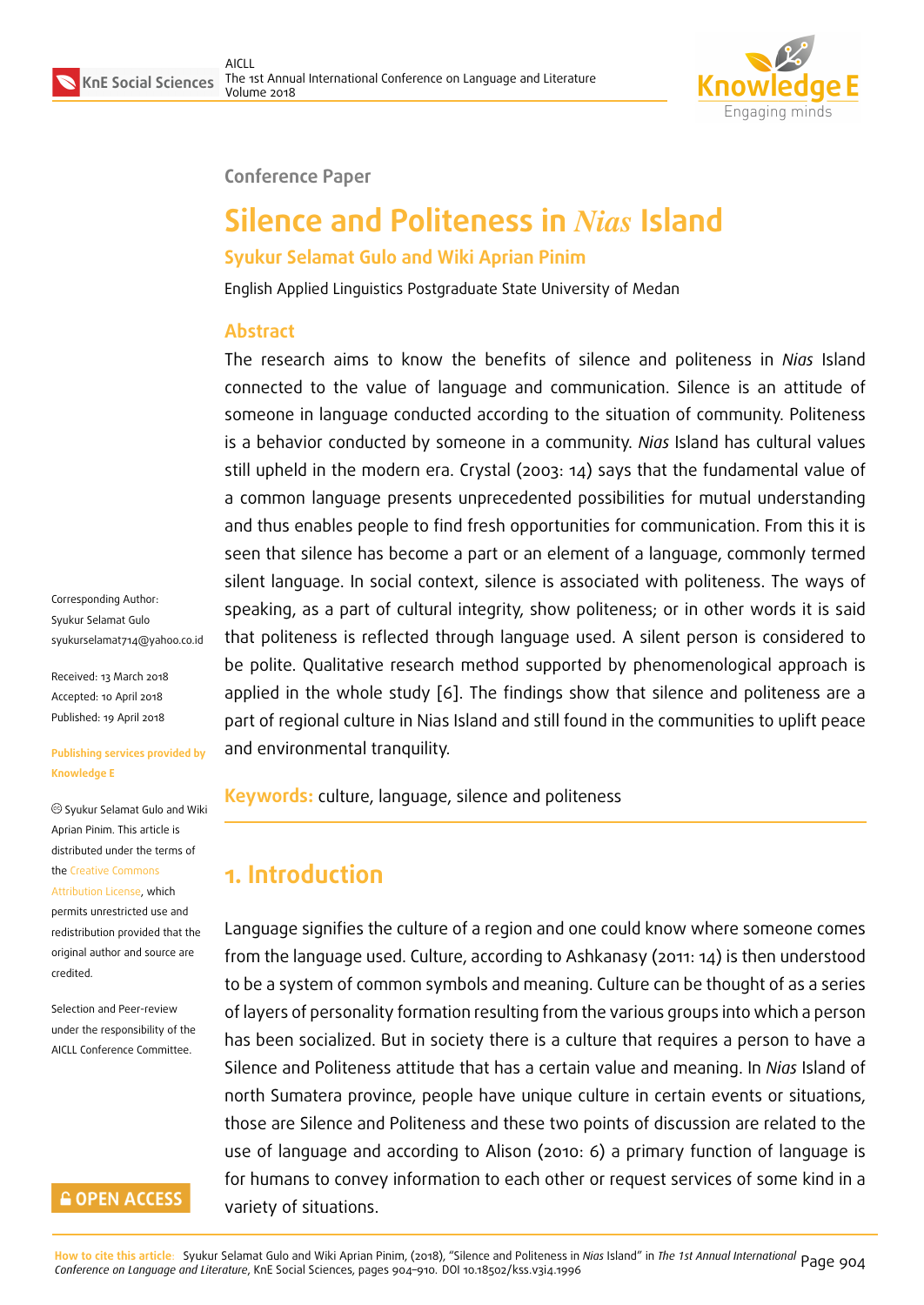

#### **Conference Paper**

# **Silence and Politeness in** *Nias* **Island**

#### **Syukur Selamat Gulo and Wiki Aprian Pinim**

English Applied Linguistics Postgraduate State University of Medan

#### **Abstract**

The research aims to know the benefits of silence and politeness in *Nias* Island connected to the value of language and communication. Silence is an attitude of someone in language conducted according to the situation of community. Politeness is a behavior conducted by someone in a community. *Nias* Island has cultural values still upheld in the modern era. Crystal (2003: 14) says that the fundamental value of a common language presents unprecedented possibilities for mutual understanding and thus enables people to find fresh opportunities for communication. From this it is seen that silence has become a part or an element of a language, commonly termed silent language. In social context, silence is associated with politeness. The ways of speaking, as a part of cultural integrity, show politeness; or in other words it is said that politeness is reflected through language used. A silent person is considered to be polite. Qualitative research method supported by phenomenological approach is applied in the whole study [6]. The findings show that silence and politeness are a part of regional culture in Nias Island and still found in the communities to uplift peace and environmental tranquility.

**Keywords:** culture, language, silence and politeness

# **1. Introduction**

Language signifies the culture of a region and one could know where someone comes from the language used. Culture, according to Ashkanasy (2011: 14) is then understood to be a system of common symbols and meaning. Culture can be thought of as a series of layers of personality formation resulting from the various groups into which a person has been socialized. But in society there is a culture that requires a person to have a Silence and Politeness attitude that has a certain value and meaning. In *Nias* Island of north Sumatera province, people have unique culture in certain events or situations, those are Silence and Politeness and these two points of discussion are related to the use of language and according to Alison (2010: 6) a primary function of language is for humans to convey information to each other or request services of some kind in a variety of situations.

Corresponding Author: Syukur Selamat Gulo syukurselamat714@yahoo.co.id

Received: 13 March 2018 Accepted: 10 April 2018 [Published: 19 April 2018](mailto:syukurselamat714@yahoo.co.id)

#### **Publishing services provided by Knowledge E**

Syukur Selamat Gulo and Wiki Aprian Pinim. This article is distributed under the terms of the Creative Commons Attribution License, which

permits unrestricted use and redistribution provided that the ori[ginal author and sou](https://creativecommons.org/licenses/by/4.0/)rce are [credited.](https://creativecommons.org/licenses/by/4.0/)

Selection and Peer-review under the responsibility of the AICLL Conference Committee.

#### **GOPEN ACCESS**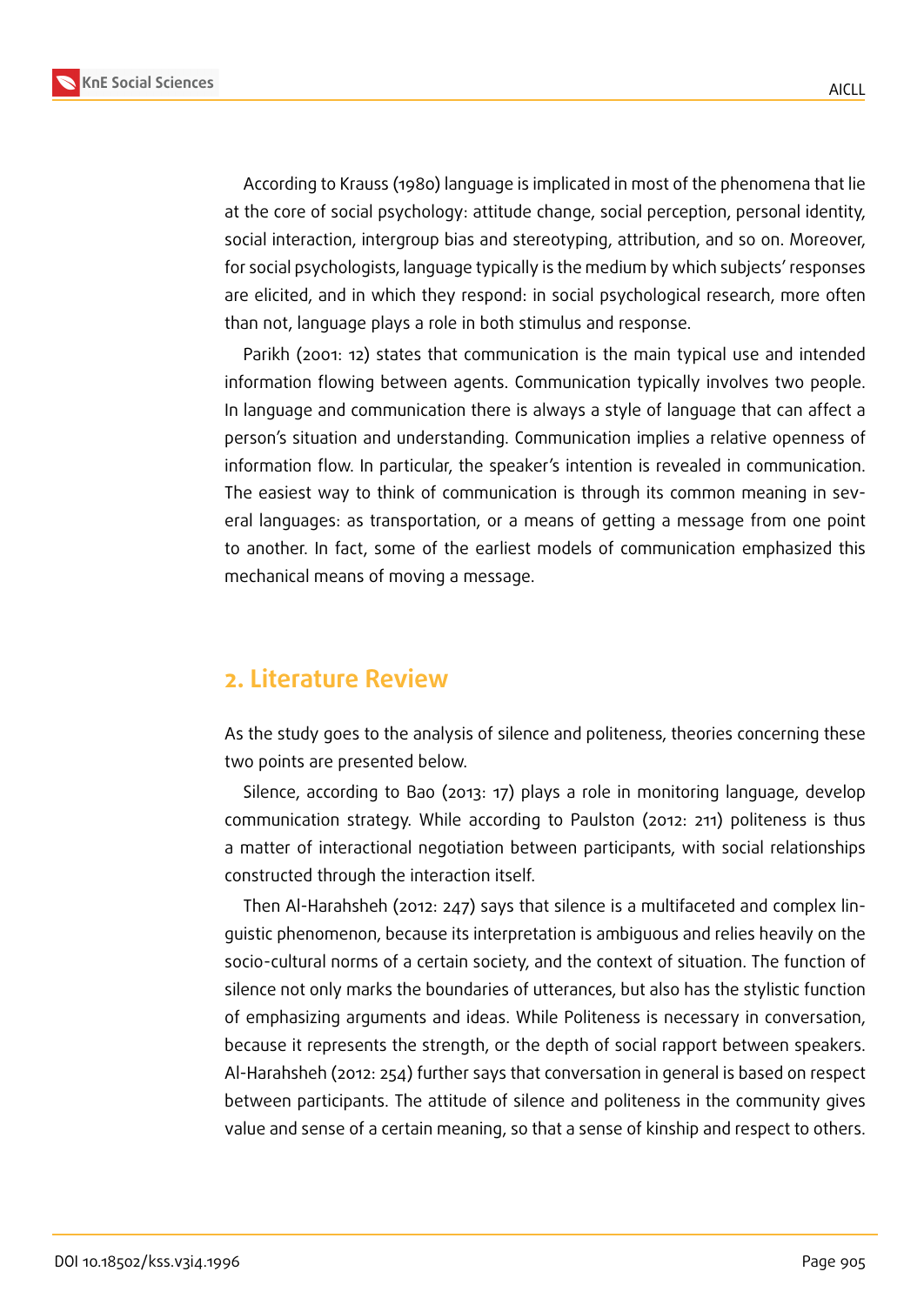

According to Krauss (1980) language is implicated in most of the phenomena that lie at the core of social psychology: attitude change, social perception, personal identity, social interaction, intergroup bias and stereotyping, attribution, and so on. Moreover, for social psychologists, language typically is the medium by which subjects' responses are elicited, and in which they respond: in social psychological research, more often than not, language plays a role in both stimulus and response.

Parikh (2001: 12) states that communication is the main typical use and intended information flowing between agents. Communication typically involves two people. In language and communication there is always a style of language that can affect a person's situation and understanding. Communication implies a relative openness of information flow. In particular, the speaker's intention is revealed in communication. The easiest way to think of communication is through its common meaning in several languages: as transportation, or a means of getting a message from one point to another. In fact, some of the earliest models of communication emphasized this mechanical means of moving a message.

#### **2. Literature Review**

As the study goes to the analysis of silence and politeness, theories concerning these two points are presented below.

Silence, according to Bao (2013: 17) plays a role in monitoring language, develop communication strategy. While according to Paulston (2012: 211) politeness is thus a matter of interactional negotiation between participants, with social relationships constructed through the interaction itself.

Then Al-Harahsheh (2012: 247) says that silence is a multifaceted and complex linguistic phenomenon, because its interpretation is ambiguous and relies heavily on the socio-cultural norms of a certain society, and the context of situation. The function of silence not only marks the boundaries of utterances, but also has the stylistic function of emphasizing arguments and ideas. While Politeness is necessary in conversation, because it represents the strength, or the depth of social rapport between speakers. Al-Harahsheh (2012: 254) further says that conversation in general is based on respect between participants. The attitude of silence and politeness in the community gives value and sense of a certain meaning, so that a sense of kinship and respect to others.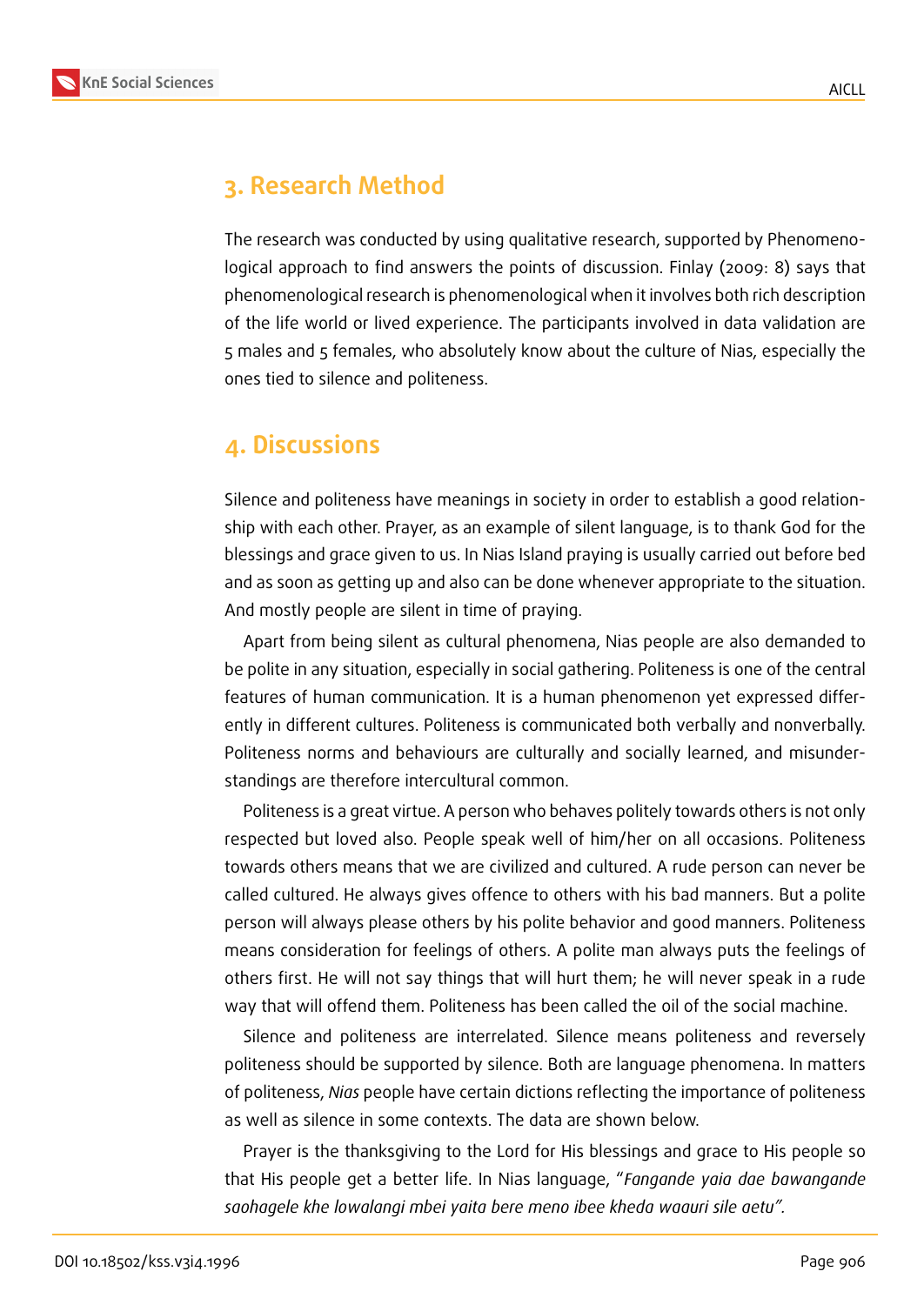

## **3. Research Method**

The research was conducted by using qualitative research, supported by Phenomenological approach to find answers the points of discussion. Finlay (2009: 8) says that phenomenological research is phenomenological when it involves both rich description of the life world or lived experience. The participants involved in data validation are 5 males and 5 females, who absolutely know about the culture of Nias, especially the ones tied to silence and politeness.

#### **4. Discussions**

Silence and politeness have meanings in society in order to establish a good relationship with each other. Prayer, as an example of silent language, is to thank God for the blessings and grace given to us. In Nias Island praying is usually carried out before bed and as soon as getting up and also can be done whenever appropriate to the situation. And mostly people are silent in time of praying.

Apart from being silent as cultural phenomena, Nias people are also demanded to be polite in any situation, especially in social gathering. Politeness is one of the central features of human communication. It is a human phenomenon yet expressed differently in different cultures. Politeness is communicated both verbally and nonverbally. Politeness norms and behaviours are culturally and socially learned, and misunderstandings are therefore intercultural common.

Politeness is a great virtue. A person who behaves politely towards others is not only respected but loved also. People speak well of him/her on all occasions. Politeness towards others means that we are civilized and cultured. A rude person can never be called cultured. He always gives offence to others with his bad manners. But a polite person will always please others by his polite behavior and good manners. Politeness means consideration for feelings of others. A polite man always puts the feelings of others first. He will not say things that will hurt them; he will never speak in a rude way that will offend them. Politeness has been called the oil of the social machine.

Silence and politeness are interrelated. Silence means politeness and reversely politeness should be supported by silence. Both are language phenomena. In matters of politeness, *Nias* people have certain dictions reflecting the importance of politeness as well as silence in some contexts. The data are shown below.

Prayer is the thanksgiving to the Lord for His blessings and grace to His people so that His people get a better life. In Nias language, "*Fangande yaia dae bawangande saohagele khe lowalangi mbei yaita bere meno ibee kheda waauri sile aetu".*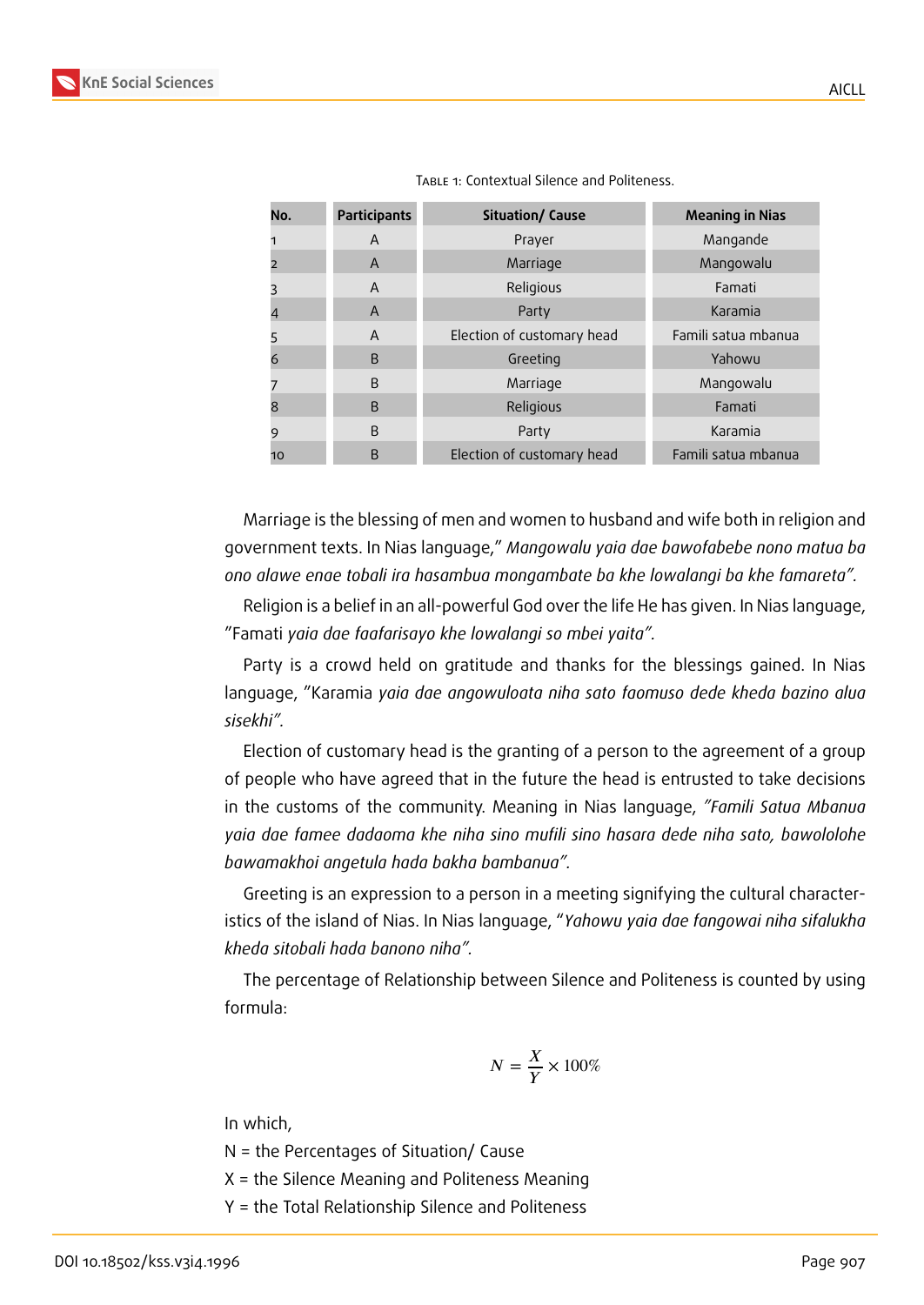

Marriage is the blessing of men and women to husband and wife both in religion and government texts. In Nias language," *Mangowalu yaia dae bawofabebe nono matua ba ono alawe enae tobali ira hasambua mongambate ba khe lowalangi ba khe famareta".*

Religion is a belief in an all-powerful God over the life He has given. In Nias language, "Famati *yaia dae faafarisayo khe lowalangi so mbei yaita".*

Party is a crowd held on gratitude and thanks for the blessings gained. In Nias language, "Karamia *yaia dae angowuloata niha sato faomuso dede kheda bazino alua sisekhi".*

Election of customary head is the granting of a person to the agreement of a group of people who have agreed that in the future the head is entrusted to take decisions in the customs of the community. Meaning in Nias language, *"Famili Satua Mbanua yaia dae famee dadaoma khe niha sino mufili sino hasara dede niha sato, bawololohe bawamakhoi angetula hada bakha bambanua".*

Greeting is an expression to a person in a meeting signifying the cultural characteristics of the island of Nias. In Nias language, "*Yahowu yaia dae fangowai niha sifalukha kheda sitobali hada banono niha".*

The percentage of Relationship between Silence and Politeness is counted by using formula:

$$
N = \frac{X}{Y} \times 100\%
$$

In which,

N = the Percentages of Situation/ Cause

X = the Silence Meaning and Politeness Meaning

Y = the Total Relationship Silence and Politeness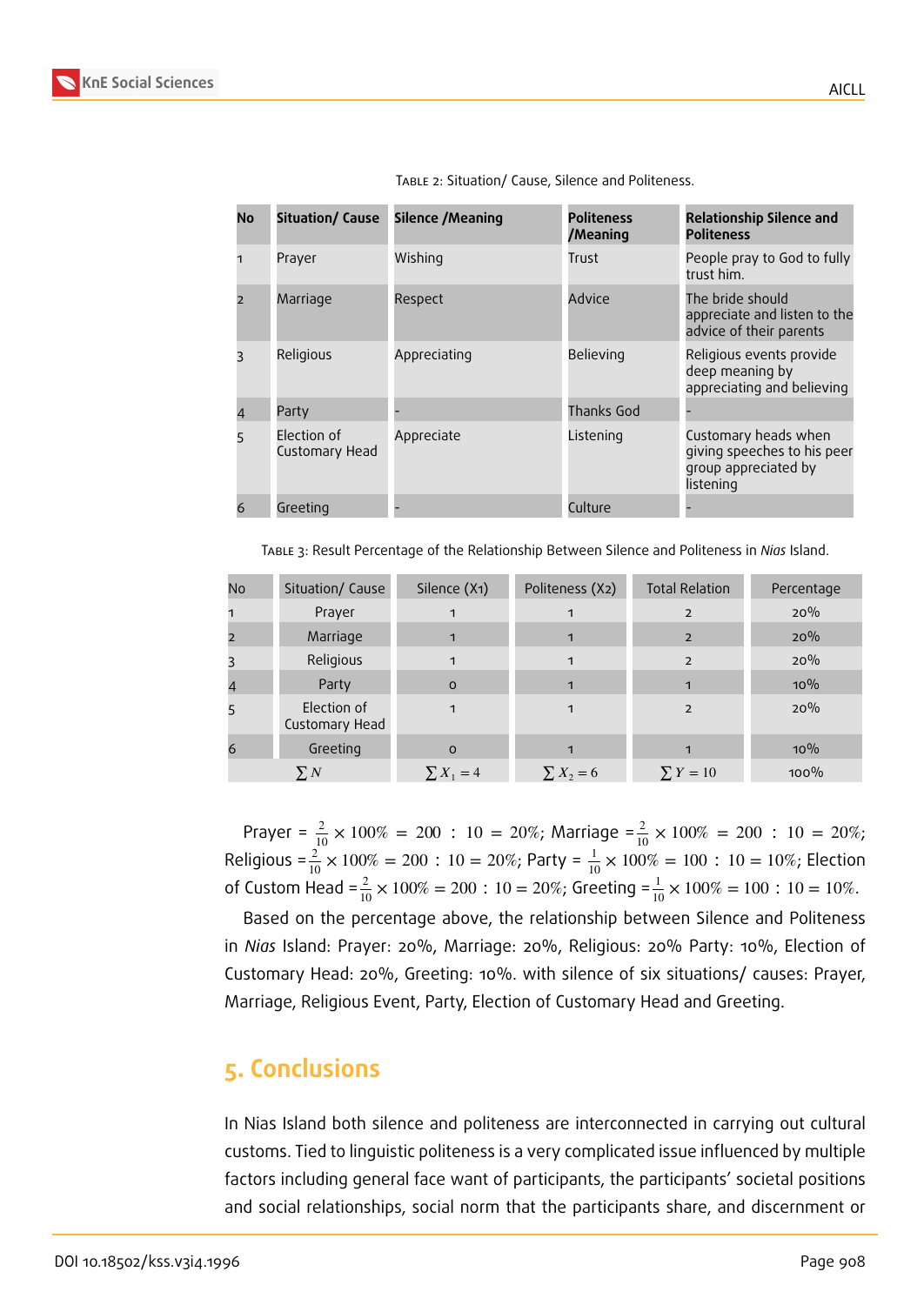| No | Situation/ Cause              | Silence /Meaning | <b>Politeness</b><br>/Meaning | <b>Relationship Silence and</b><br><b>Politeness</b>                                     |
|----|-------------------------------|------------------|-------------------------------|------------------------------------------------------------------------------------------|
|    | Prayer                        | Wishing          | Trust                         | People pray to God to fully<br>trust him.                                                |
|    | Marriage                      | Respect          | Advice                        | The bride should<br>appreciate and listen to the<br>advice of their parents              |
|    | Religious                     | Appreciating     | Believing                     | Religious events provide<br>deep meaning by<br>appreciating and believing                |
|    | Party                         |                  | Thanks God                    |                                                                                          |
| 5  | Election of<br>Customary Head | Appreciate       | Listening                     | Customary heads when<br>giving speeches to his peer<br>group appreciated by<br>listening |
|    | Greeting                      |                  | Culture                       |                                                                                          |

Table 2: Situation/ Cause, Silence and Politeness.

Table 3: Result Percentage of the Relationship Between Silence and Politeness in *Nias* Island.

| No             | Situation/ Cause              | Silence (X1)   | Politeness (X2) | <b>Total Relation</b> | Percentage |
|----------------|-------------------------------|----------------|-----------------|-----------------------|------------|
| 1              | Prayer                        | 1              | 1               | $\overline{2}$        | 20%        |
| $\overline{2}$ | Marriage                      | 1              | $\mathbf{1}$    | $\overline{2}$        | 20%        |
| 3              | Religious                     | 1              | 1               | $\overline{2}$        | 20%        |
| 4              | Party                         | $\Omega$       | 1               | 1                     | $10\%$     |
| 5              | Election of<br>Customary Head | 1              | 1               | $\overline{2}$        | 20%        |
| 6              | Greeting                      | $\Omega$       |                 |                       | $10\%$     |
|                | $\sum N$                      | $\sum X_1 = 4$ | $\sum X_2 = 6$  | $\sum Y = 10$         | $100\%$    |

Prayer =  $\frac{2}{10} \times 100\%$  = 200 : 10 = 20%; Marriage = $\frac{2}{10} \times 100\%$  = 200 : 10 = 20%; Religious = $\frac{2}{10} \times 100\% = 200$  : 10 = 20%; Party =  $\frac{1}{10} \times 100\% = 100$  : 10 = 10%; Election of Custom Head =  $\frac{2}{10} \times 100\% = 200$  : 10 = 20%; Greeting =  $\frac{1}{10} \times 100\% = 100$  : 10 = 10%.

Based on the percentage above, the relationship between Silence and Politeness in *Nias* Island: Prayer: 20%, Marriage: 20%, Religious: 20% Party: 10%, Election of Customary Head: 20%, Greeting: 10%. with silence of six situations/ causes: Prayer, Marriage, Religious Event, Party, Election of Customary Head and Greeting.

# **5. Conclusions**

In Nias Island both silence and politeness are interconnected in carrying out cultural customs. Tied to linguistic politeness is a very complicated issue influenced by multiple factors including general face want of participants, the participants' societal positions and social relationships, social norm that the participants share, and discernment or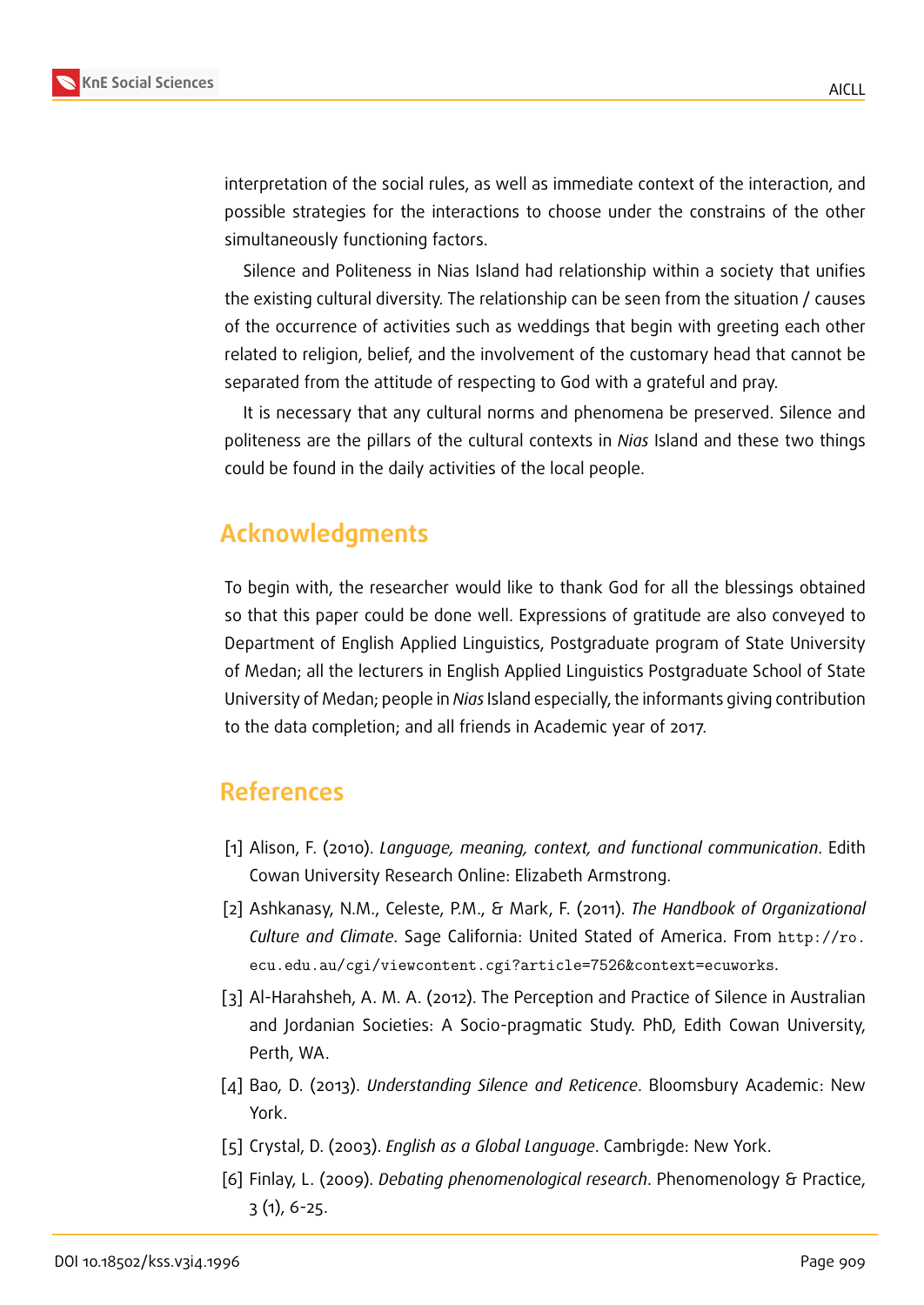interpretation of the social rules, as well as immediate context of the interaction, and possible strategies for the interactions to choose under the constrains of the other simultaneously functioning factors.

Silence and Politeness in Nias Island had relationship within a society that unifies the existing cultural diversity. The relationship can be seen from the situation / causes of the occurrence of activities such as weddings that begin with greeting each other related to religion, belief, and the involvement of the customary head that cannot be separated from the attitude of respecting to God with a grateful and pray.

It is necessary that any cultural norms and phenomena be preserved. Silence and politeness are the pillars of the cultural contexts in *Nias* Island and these two things could be found in the daily activities of the local people.

# **Acknowledgments**

To begin with, the researcher would like to thank God for all the blessings obtained so that this paper could be done well. Expressions of gratitude are also conveyed to Department of English Applied Linguistics, Postgraduate program of State University of Medan; all the lecturers in English Applied Linguistics Postgraduate School of State University of Medan; people in *Nias* Island especially, the informants giving contribution to the data completion; and all friends in Academic year of 2017.

## **References**

- [1] Alison, F. (2010). *Language, meaning, context, and functional communication*. Edith Cowan University Research Online: Elizabeth Armstrong.
- [2] Ashkanasy, N.M., Celeste, P.M., & Mark, F. (2011). *The Handbook of Organizational Culture and Climate*. Sage California: United Stated of America. From http://ro. ecu.edu.au/cgi/viewcontent.cgi?article=7526&context=ecuworks.
- [3] Al-Harahsheh, A. M. A. (2012). The Perception and Practice of Silence in Australian [and Jordanian Societies: A Socio-pragmatic Study. PhD, Edith Cowan University,](http://ro.ecu.edu.au/cgi/viewcontent.cgi?article=7526&context=ecuworks) Perth, WA.
- [4] Bao, D. (2013). *Understanding Silence and Reticence*. Bloomsbury Academic: New York.
- [5] Crystal, D. (2003). *English as a Global Language*. Cambrigde: New York.
- [6] Finlay, L. (2009). *Debating phenomenological research*. Phenomenology & Practice, 3 (1), 6-25.